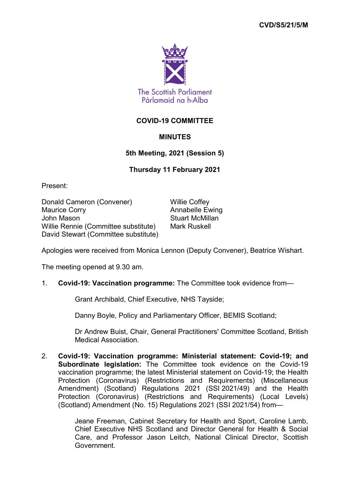

# **COVID-19 COMMITTEE**

## **MINUTES**

## **5th Meeting, 2021 (Session 5)**

### **Thursday 11 February 2021**

Present:

Donald Cameron (Convener) Willie Coffey Maurice Corry **Annabelle Ewing** John Mason **Stuart McMillan** Willie Rennie (Committee substitute) Mark Ruskell David Stewart (Committee substitute)

Apologies were received from Monica Lennon (Deputy Convener), Beatrice Wishart.

The meeting opened at 9.30 am.

### 1. **Covid-19: Vaccination programme:** The Committee took evidence from—

Grant Archibald, Chief Executive, NHS Tayside;

Danny Boyle, Policy and Parliamentary Officer, BEMIS Scotland;

Dr Andrew Buist, Chair, General Practitioners' Committee Scotland, British Medical Association.

2. **Covid-19: Vaccination programme: Ministerial statement: Covid-19; and Subordinate legislation:** The Committee took evidence on the Covid-19 vaccination programme; the latest Ministerial statement on Covid-19; the Health Protection (Coronavirus) (Restrictions and Requirements) (Miscellaneous Amendment) (Scotland) Regulations 2021 (SSI 2021/49) and the Health Protection (Coronavirus) (Restrictions and Requirements) (Local Levels) (Scotland) Amendment (No. 15) Regulations 2021 (SSI 2021/54) from—

> Jeane Freeman, Cabinet Secretary for Health and Sport, Caroline Lamb, Chief Executive NHS Scotland and Director General for Health & Social Care, and Professor Jason Leitch, National Clinical Director, Scottish Government.